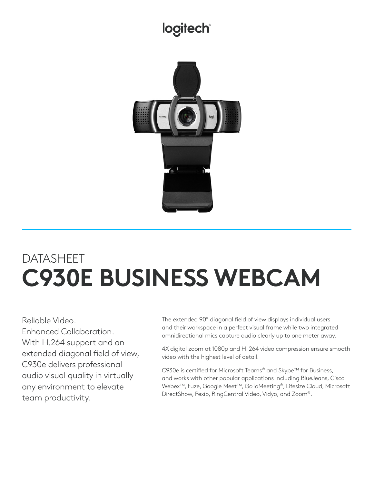## logitech®



# **DATASHEET C930E BUSINESS WEBCAM**

Reliable Video. Enhanced Collaboration. With H.264 support and an extended diagonal field of view, C930e delivers professional audio visual quality in virtually any environment to elevate team productivity.

The extended 90° diagonal field of view displays individual users and their workspace in a perfect visual frame while two integrated omnidirectional mics capture audio clearly up to one meter away.

4X digital zoom at 1080p and H. 264 video compression ensure smooth video with the highest level of detail.

C930e is certified for Microsoft Teams® and Skype™ for Business, and works with other popular applications including BlueJeans, Cisco Webex™, Fuze, Google Meet™, GoToMeeting®, Lifesize Cloud, Microsoft DirectShow, Pexip, RingCentral Video, Vidyo, and Zoom®.